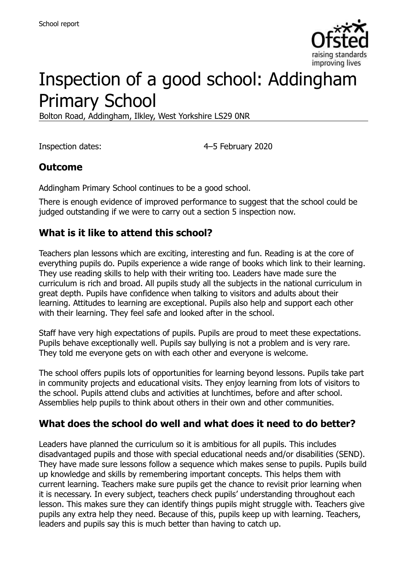

# Inspection of a good school: Addingham Primary School

Bolton Road, Addingham, Ilkley, West Yorkshire LS29 0NR

Inspection dates: 4–5 February 2020

# **Outcome**

Addingham Primary School continues to be a good school.

There is enough evidence of improved performance to suggest that the school could be judged outstanding if we were to carry out a section 5 inspection now.

# **What is it like to attend this school?**

Teachers plan lessons which are exciting, interesting and fun. Reading is at the core of everything pupils do. Pupils experience a wide range of books which link to their learning. They use reading skills to help with their writing too. Leaders have made sure the curriculum is rich and broad. All pupils study all the subjects in the national curriculum in great depth. Pupils have confidence when talking to visitors and adults about their learning. Attitudes to learning are exceptional. Pupils also help and support each other with their learning. They feel safe and looked after in the school.

Staff have very high expectations of pupils. Pupils are proud to meet these expectations. Pupils behave exceptionally well. Pupils say bullying is not a problem and is very rare. They told me everyone gets on with each other and everyone is welcome.

The school offers pupils lots of opportunities for learning beyond lessons. Pupils take part in community projects and educational visits. They enjoy learning from lots of visitors to the school. Pupils attend clubs and activities at lunchtimes, before and after school. Assemblies help pupils to think about others in their own and other communities.

# **What does the school do well and what does it need to do better?**

Leaders have planned the curriculum so it is ambitious for all pupils. This includes disadvantaged pupils and those with special educational needs and/or disabilities (SEND). They have made sure lessons follow a sequence which makes sense to pupils. Pupils build up knowledge and skills by remembering important concepts. This helps them with current learning. Teachers make sure pupils get the chance to revisit prior learning when it is necessary. In every subject, teachers check pupils' understanding throughout each lesson. This makes sure they can identify things pupils might struggle with. Teachers give pupils any extra help they need. Because of this, pupils keep up with learning. Teachers, leaders and pupils say this is much better than having to catch up.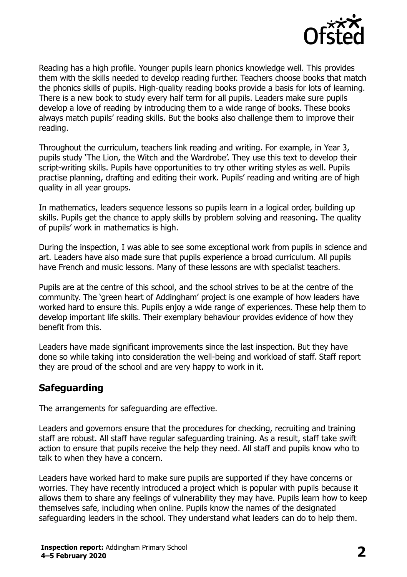

Reading has a high profile. Younger pupils learn phonics knowledge well. This provides them with the skills needed to develop reading further. Teachers choose books that match the phonics skills of pupils. High-quality reading books provide a basis for lots of learning. There is a new book to study every half term for all pupils. Leaders make sure pupils develop a love of reading by introducing them to a wide range of books. These books always match pupils' reading skills. But the books also challenge them to improve their reading.

Throughout the curriculum, teachers link reading and writing. For example, in Year 3, pupils study 'The Lion, the Witch and the Wardrobe'. They use this text to develop their script-writing skills. Pupils have opportunities to try other writing styles as well. Pupils practise planning, drafting and editing their work. Pupils' reading and writing are of high quality in all year groups.

In mathematics, leaders sequence lessons so pupils learn in a logical order, building up skills. Pupils get the chance to apply skills by problem solving and reasoning. The quality of pupils' work in mathematics is high.

During the inspection, I was able to see some exceptional work from pupils in science and art. Leaders have also made sure that pupils experience a broad curriculum. All pupils have French and music lessons. Many of these lessons are with specialist teachers.

Pupils are at the centre of this school, and the school strives to be at the centre of the community. The 'green heart of Addingham' project is one example of how leaders have worked hard to ensure this. Pupils enjoy a wide range of experiences. These help them to develop important life skills. Their exemplary behaviour provides evidence of how they benefit from this.

Leaders have made significant improvements since the last inspection. But they have done so while taking into consideration the well-being and workload of staff. Staff report they are proud of the school and are very happy to work in it.

# **Safeguarding**

The arrangements for safeguarding are effective.

Leaders and governors ensure that the procedures for checking, recruiting and training staff are robust. All staff have regular safeguarding training. As a result, staff take swift action to ensure that pupils receive the help they need. All staff and pupils know who to talk to when they have a concern.

Leaders have worked hard to make sure pupils are supported if they have concerns or worries. They have recently introduced a project which is popular with pupils because it allows them to share any feelings of vulnerability they may have. Pupils learn how to keep themselves safe, including when online. Pupils know the names of the designated safeguarding leaders in the school. They understand what leaders can do to help them.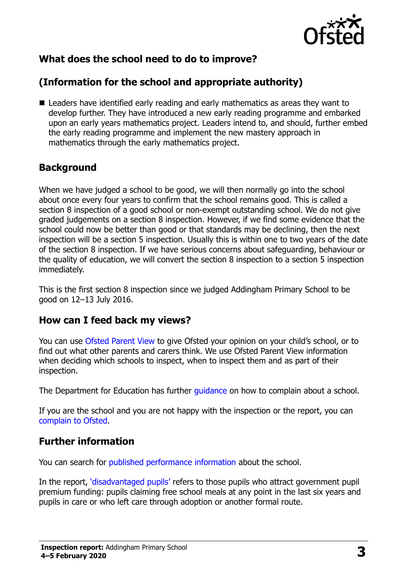

# **What does the school need to do to improve?**

# **(Information for the school and appropriate authority)**

■ Leaders have identified early reading and early mathematics as areas they want to develop further. They have introduced a new early reading programme and embarked upon an early years mathematics project. Leaders intend to, and should, further embed the early reading programme and implement the new mastery approach in mathematics through the early mathematics project.

# **Background**

When we have judged a school to be good, we will then normally go into the school about once every four years to confirm that the school remains good. This is called a section 8 inspection of a good school or non-exempt outstanding school. We do not give graded judgements on a section 8 inspection. However, if we find some evidence that the school could now be better than good or that standards may be declining, then the next inspection will be a section 5 inspection. Usually this is within one to two years of the date of the section 8 inspection. If we have serious concerns about safeguarding, behaviour or the quality of education, we will convert the section 8 inspection to a section 5 inspection immediately.

This is the first section 8 inspection since we judged Addingham Primary School to be good on 12–13 July 2016.

# **How can I feed back my views?**

You can use [Ofsted Parent View](https://parentview.ofsted.gov.uk/) to give Ofsted your opinion on your child's school, or to find out what other parents and carers think. We use Ofsted Parent View information when deciding which schools to inspect, when to inspect them and as part of their inspection.

The Department for Education has further quidance on how to complain about a school.

If you are the school and you are not happy with the inspection or the report, you can [complain to Ofsted.](https://www.gov.uk/complain-ofsted-report)

# **Further information**

You can search for [published performance information](http://www.compare-school-performance.service.gov.uk/) about the school.

In the report, '[disadvantaged pupils](http://www.gov.uk/guidance/pupil-premium-information-for-schools-and-alternative-provision-settings)' refers to those pupils who attract government pupil premium funding: pupils claiming free school meals at any point in the last six years and pupils in care or who left care through adoption or another formal route.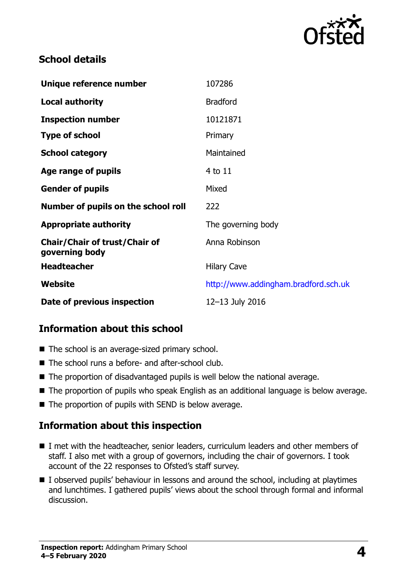

# **School details**

| Unique reference number                                | 107286                               |
|--------------------------------------------------------|--------------------------------------|
| <b>Local authority</b>                                 | <b>Bradford</b>                      |
| <b>Inspection number</b>                               | 10121871                             |
| <b>Type of school</b>                                  | Primary                              |
| <b>School category</b>                                 | Maintained                           |
| Age range of pupils                                    | 4 to 11                              |
| <b>Gender of pupils</b>                                | Mixed                                |
| Number of pupils on the school roll                    | 222                                  |
| <b>Appropriate authority</b>                           | The governing body                   |
| <b>Chair/Chair of trust/Chair of</b><br>governing body | Anna Robinson                        |
| <b>Headteacher</b>                                     | <b>Hilary Cave</b>                   |
| <b>Website</b>                                         | http://www.addingham.bradford.sch.uk |
| Date of previous inspection                            | 12-13 July 2016                      |

# **Information about this school**

- The school is an average-sized primary school.
- The school runs a before- and after-school club.
- The proportion of disadvantaged pupils is well below the national average.
- The proportion of pupils who speak English as an additional language is below average.
- The proportion of pupils with SEND is below average.

# **Information about this inspection**

- I met with the headteacher, senior leaders, curriculum leaders and other members of staff. I also met with a group of governors, including the chair of governors. I took account of the 22 responses to Ofsted's staff survey.
- I observed pupils' behaviour in lessons and around the school, including at playtimes and lunchtimes. I gathered pupils' views about the school through formal and informal discussion.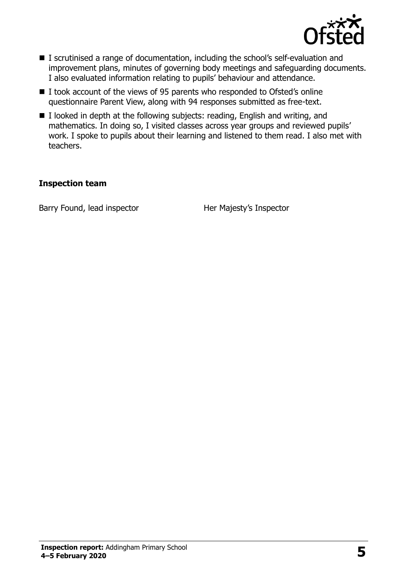

- I scrutinised a range of documentation, including the school's self-evaluation and improvement plans, minutes of governing body meetings and safeguarding documents. I also evaluated information relating to pupils' behaviour and attendance.
- I took account of the views of 95 parents who responded to Ofsted's online questionnaire Parent View, along with 94 responses submitted as free-text.
- $\blacksquare$  I looked in depth at the following subjects: reading, English and writing, and mathematics. In doing so, I visited classes across year groups and reviewed pupils' work. I spoke to pupils about their learning and listened to them read. I also met with teachers.

#### **Inspection team**

Barry Found, lead inspector Her Majesty's Inspector